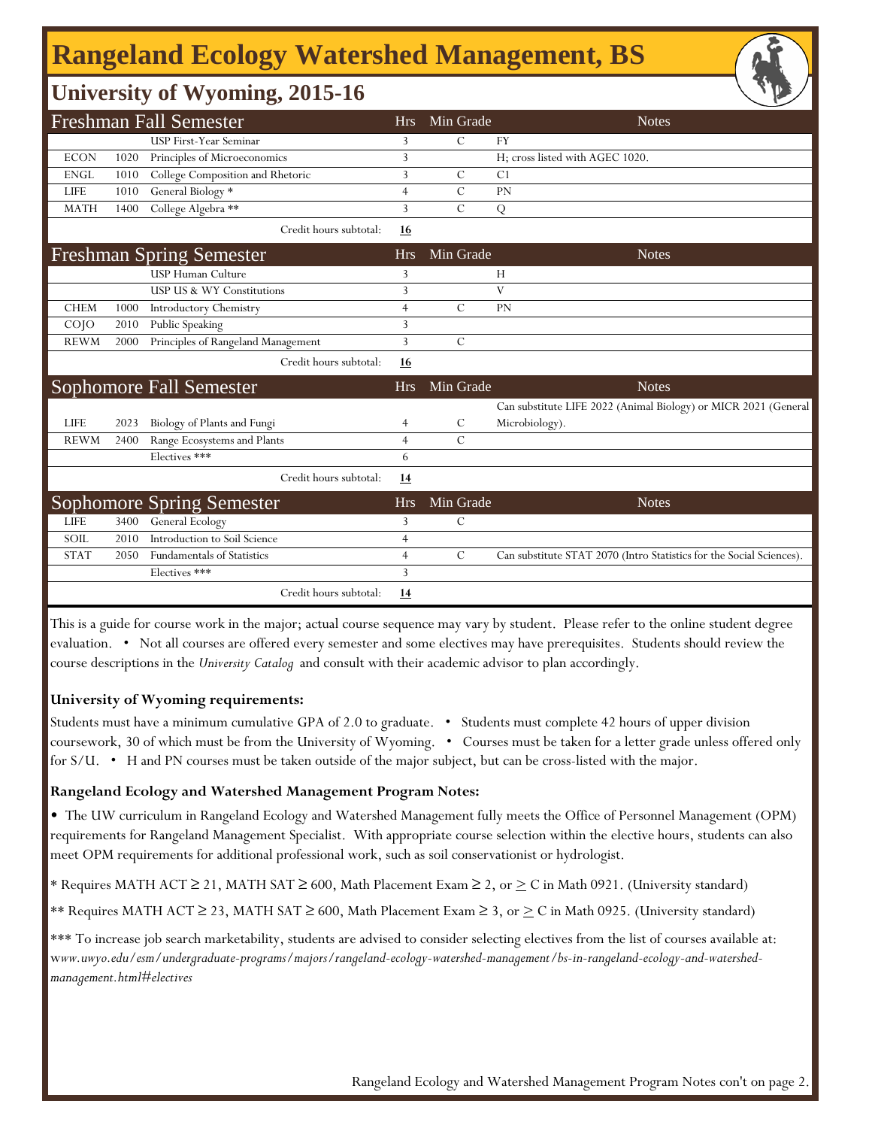## **Rangeland Ecology Watershed Management, BS**

### **University of Wyoming, 2015-16**

|                   |      | Freshman Fall Semester             | <b>Hrs</b>     | Min Grade     | <b>Notes</b>                                                         |
|-------------------|------|------------------------------------|----------------|---------------|----------------------------------------------------------------------|
|                   |      | USP First-Year Seminar             | 3              | $\mathcal{C}$ | <b>FY</b>                                                            |
| <b>ECON</b>       | 1020 | Principles of Microeconomics       | 3              |               | H; cross listed with AGEC 1020.                                      |
| <b>ENGL</b>       | 1010 | College Composition and Rhetoric   | 3              | $\mathcal{C}$ | C <sub>1</sub>                                                       |
| <b>LIFE</b>       | 1010 | General Biology *                  | $\overline{4}$ | $\mathcal{C}$ | PN                                                                   |
| <b>MATH</b>       | 1400 | College Algebra **                 | 3              | $\mathcal{C}$ | Q                                                                    |
|                   |      | Credit hours subtotal:             | <u>16</u>      |               |                                                                      |
|                   |      | <b>Freshman Spring Semester</b>    | <b>Hrs</b>     | Min Grade     | <b>Notes</b>                                                         |
|                   |      | <b>USP Human Culture</b>           | 3              |               | Н                                                                    |
|                   |      | USP US & WY Constitutions          | 3              |               | V                                                                    |
| <b>CHEM</b>       | 1000 | <b>Introductory Chemistry</b>      | $\overline{4}$ | $\mathcal{C}$ | PN                                                                   |
| CO <sub>1</sub> O | 2010 | Public Speaking                    | 3              |               |                                                                      |
| <b>REWM</b>       | 2000 | Principles of Rangeland Management | 3              | $\mathcal{C}$ |                                                                      |
|                   |      | Credit hours subtotal:             | 16             |               |                                                                      |
|                   |      | <b>Sophomore Fall Semester</b>     | <b>Hrs</b>     | Min Grade     | <b>Notes</b>                                                         |
|                   |      |                                    |                |               | Can substitute LIFE 2022 (Animal Biology) or MICR 2021 (General      |
| <b>LIFE</b>       | 2023 | Biology of Plants and Fungi        | 4              | $\mathcal{C}$ | Microbiology).                                                       |
| <b>REWM</b>       | 2400 | Range Ecosystems and Plants        | $\overline{4}$ | $\mathcal{C}$ |                                                                      |
|                   |      | Electives ***                      | 6              |               |                                                                      |
|                   |      | Credit hours subtotal:             | <u>14</u>      |               |                                                                      |
|                   |      | Sophomore Spring Semester          | <b>Hrs</b>     | Min Grade     | <b>Notes</b>                                                         |
| <b>LIFE</b>       | 3400 | General Ecology                    | 3              | $\mathcal{C}$ |                                                                      |
| <b>SOIL</b>       | 2010 | Introduction to Soil Science       | $\overline{4}$ |               |                                                                      |
| <b>STAT</b>       | 2050 | <b>Fundamentals of Statistics</b>  | $\overline{4}$ | $\mathcal{C}$ | Can substitute STAT 2070 (Intro Statistics for the Social Sciences). |
|                   |      | Electives ***                      | 3              |               |                                                                      |
|                   |      | Credit hours subtotal:             | <u>14</u>      |               |                                                                      |

This is a guide for course work in the major; actual course sequence may vary by student. Please refer to the online student degree evaluation. • Not all courses are offered every semester and some electives may have prerequisites. Students should review the course descriptions in the *University Catalog* and consult with their academic advisor to plan accordingly.

#### **University of Wyoming requirements:**

Students must have a minimum cumulative GPA of 2.0 to graduate. • Students must complete 42 hours of upper division coursework, 30 of which must be from the University of Wyoming. • Courses must be taken for a letter grade unless offered only for S/U. • H and PN courses must be taken outside of the major subject, but can be cross-listed with the major.

#### **Rangeland Ecology and Watershed Management Program Notes:**

• The UW curriculum in Rangeland Ecology and Watershed Management fully meets the Office of Personnel Management (OPM) requirements for Rangeland Management Specialist. With appropriate course selection within the elective hours, students can also meet OPM requirements for additional professional work, such as soil conservationist or hydrologist.

\* Requires MATH ACT ≥ 21, MATH SAT ≥ 600, Math Placement Exam ≥ 2, or  $\geq C$  in Math 0921. (University standard)

\*\* Requires MATH ACT  $\geq 23$ , MATH SAT  $\geq 600$ , Math Placement Exam  $\geq 3$ , or  $\geq C$  in Math 0925. (University standard)

\*\*\* To increase job search marketability, students are advised to consider selecting electives from the list of courses available at: w*ww.uwyo.edu/esm/undergraduate-programs/majors/rangeland-ecology-watershed-management/bs-in-rangeland-ecology-and-watershedmanagement.html#electives*